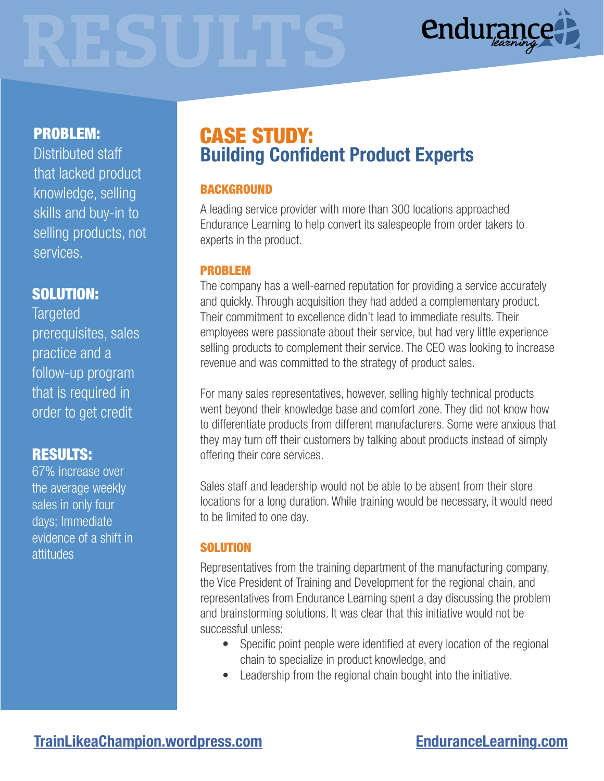

# PROBLEM:

Distributed staff that lacked product knowledge, selling skills and buy-in to selling products, not services.

## SOLUTION:

**Targeted** prerequisites, sales practice and a follow-up program that is required in order to get credit

## RESULTS:

67% increase over the average weekly sales in only four days; Immediate evidence of a shift in attitudes

# Building Confident Product Experts CASE STUDY:

### BACKGROUND

A leading service provider with more than 300 locations approached Endurance Learning to help convert its salespeople from order takers to experts in the product.

#### PROBLEM

The company has a well-earned reputation for providing a service accurately and quickly. Through acquisition they had added a complementary product. Their commitment to excellence didn't lead to immediate results. Their employees were passionate about their service, but had very little experience selling products to complement their service. The CEO was looking to increase revenue and was committed to the strategy of product sales.

For many sales representatives, however, selling highly technical products went beyond their knowledge base and comfort zone. They did not know how to differentiate products from different manufacturers. Some were anxious that they may turn off their customers by talking about products instead of simply offering their core services.

Sales staff and leadership would not be able to be absent from their store locations for a long duration. While training would be necessary, it would need to be limited to one day.

#### **SOLUTION**

Representatives from the training department of the manufacturing company, the Vice President of Training and Development for the regional chain, and representatives from Endurance Learning spent a day discussing the problem and brainstorming solutions. It was clear that this initiative would not be successful unless:

- Specific point people were identified at every location of the regional chain to specialize in product knowledge, and
- Leadership from the regional chain bought into the initiative.